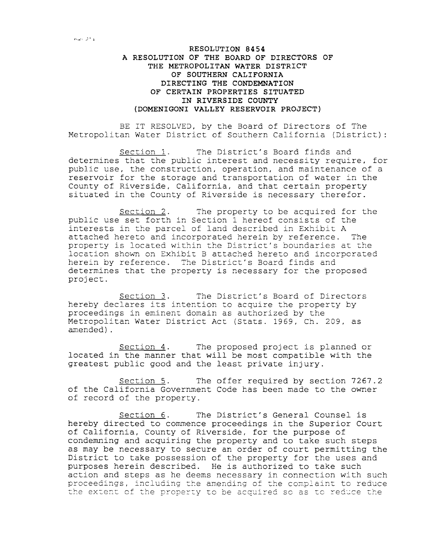## **RESOLUTION 8454 A RESOLUTION OF THE BOARD OF DIRECTORS OF THE METROPOLITAN WATER DISTRICT OF SOUTHERN CALIFORNIA DIRECTING THE CONDEMNATION OF CERTAIN PROPERTIES SITUATED IN RIVERSIDE COUNTY (DOMENIGONI VALLEY RESERVOIR PROJECT)**

BE IT RESOLVED, by the Board of Directors of The Metropolitan Water District of Southern California (District):

Section 1. The District's Board finds and determines that the public interest and necessity require, for public use, the construction, operation, and maintenance of a reservoir for the storage and transportation of water in the County of Riverside, California, and that certain property situated in the County of Riverside is necessary therefor.

Section 2. The property to be acquired for the public use set forth in Section 1 hereof consists of the interests in the parcel of land described in Exhibit <sup>A</sup> attached hereto and incorporated herein by reference. The property is located within the District's boundaries at the location shown on Exhibit B attached hereto and incorporated herein by reference. The District's Board finds and determines that the property is necessary for the proposed project.

Section 3. The District's Board of Directors hereby declares its intention to acquire the property by proceedings in eminent domain as authorized by the Metropolitan Water District Act (Stats. 1969, Ch. 209, as amended) .

Section 4. The proposed project is planned or located in the manner that will be most compatible with the greatest public good and the least private injury.

Section 5. The offer required by section 7267.2 of the California Government Code has been made to the owner of record of the property.

Section 6. The District's General Counsel is hereby directed to commence proceedings in the Superior Court of California, County of Riverside, for the purpose of condemning and acquiring the property and to take such steps as may be necessary to secure an order of court permitting the District to take possession of the property for the uses and purposes herein described. He is authorized to take such action and steps as he deems necessary in connection with such proceedings, including the amending of the complaint to reduce the extent of the property to be acquired so as to reduce the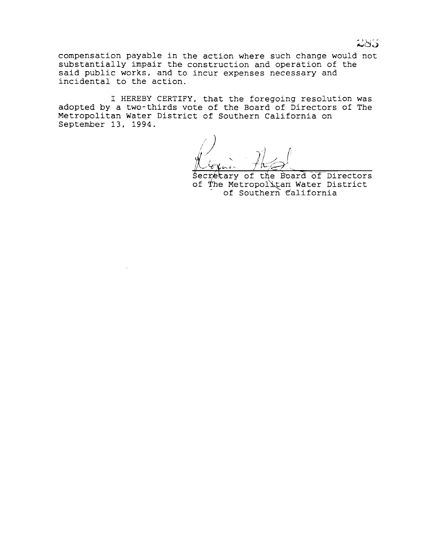compensation payable in the action where such change would not substantially impair the construction and operation of the said public works, and to incur expenses necessary and incidental to the action.

I HEREBY CERTIFY, that the foregoing resolution was adopted by a two-thirds vote of the Board of Directors of The Metropolitan Water District of Southern California on September 13, 1994.

Secretary of the Board of Directors of The Metropolitan Water District of Southern California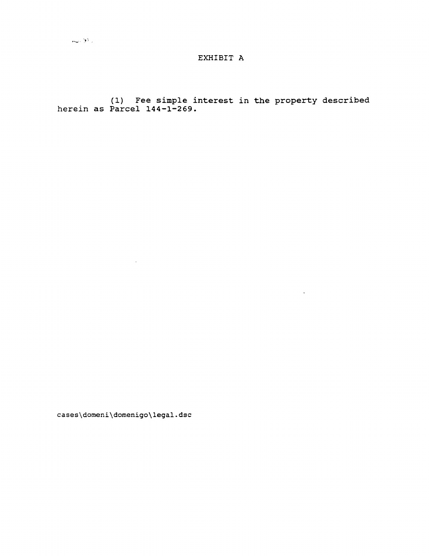## EXHIBIT A

(1) Fee simple interest in the property described<br>herein as Parcel 144-1-269.

 $\mathcal{L}^{\text{max}}_{\text{max}}$  , where  $\mathcal{L}^{\text{max}}_{\text{max}}$ 

cases\domeni\domenigo\legal.dsc

 $\mathcal{L}^{\mathcal{L}}(\mathcal{L}^{\mathcal{L}}(\mathcal{L}^{\mathcal{L}}(\mathcal{L}^{\mathcal{L}}(\mathcal{L}^{\mathcal{L}}(\mathcal{L}^{\mathcal{L}}(\mathcal{L}^{\mathcal{L}}(\mathcal{L}^{\mathcal{L}}(\mathcal{L}^{\mathcal{L}}(\mathcal{L}^{\mathcal{L}}(\mathcal{L}^{\mathcal{L}}(\mathcal{L}^{\mathcal{L}}(\mathcal{L}^{\mathcal{L}}(\mathcal{L}^{\mathcal{L}}(\mathcal{L}^{\mathcal{L}}(\mathcal{L}^{\mathcal{L}}(\mathcal{L}^{\mathcal{L$